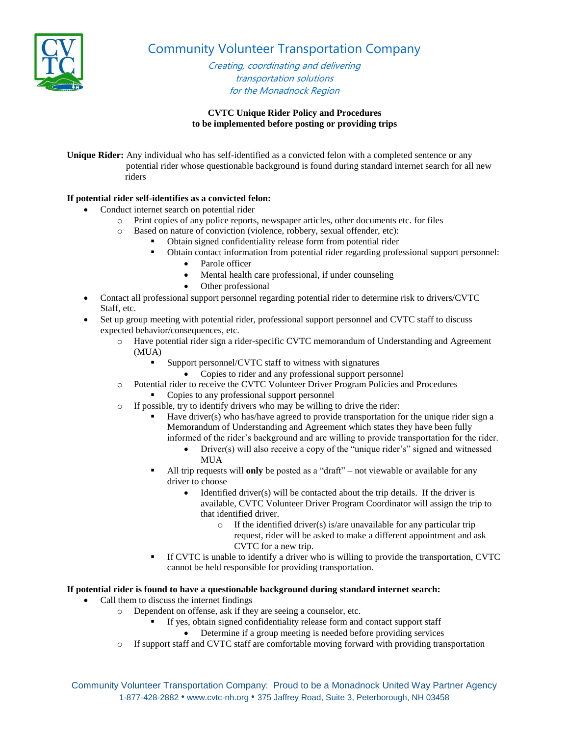

Community Volunteer Transportation Company

Creating, coordinating and delivering transportation solutions for the Monadnock Region

## **CVTC Unique Rider Policy and Procedures to be implemented before posting or providing trips**

**Unique Rider:** Any individual who has self-identified as a convicted felon with a completed sentence or any potential rider whose questionable background is found during standard internet search for all new riders

## **If potential rider self-identifies as a convicted felon:**

- Conduct internet search on potential rider
	- o Print copies of any police reports, newspaper articles, other documents etc. for files
	- o Based on nature of conviction (violence, robbery, sexual offender, etc):
		- Obtain signed confidentiality release form from potential rider
		- Obtain contact information from potential rider regarding professional support personnel:
			- Parole officer
			- Mental health care professional, if under counseling
			- Other professional
- Contact all professional support personnel regarding potential rider to determine risk to drivers/CVTC Staff, etc.
- Set up group meeting with potential rider, professional support personnel and CVTC staff to discuss expected behavior/consequences, etc.
	- o Have potential rider sign a rider-specific CVTC memorandum of Understanding and Agreement (MUA)
		- Support personnel/CVTC staff to witness with signatures
			- Copies to rider and any professional support personnel
	- o Potential rider to receive the CVTC Volunteer Driver Program Policies and Procedures • Copies to any professional support personnel
	- o If possible, try to identify drivers who may be willing to drive the rider:
		- Have driver(s) who has/have agreed to provide transportation for the unique rider sign a Memorandum of Understanding and Agreement which states they have been fully informed of the rider's background and are willing to provide transportation for the rider.
			- Driver(s) will also receive a copy of the "unique rider's" signed and witnessed MUA
		- All trip requests will **only** be posted as a "draft" not viewable or available for any driver to choose
			- Identified driver(s) will be contacted about the trip details. If the driver is available, CVTC Volunteer Driver Program Coordinator will assign the trip to that identified driver.
				- $\circ$  If the identified driver(s) is/are unavailable for any particular trip request, rider will be asked to make a different appointment and ask CVTC for a new trip.
		- If CVTC is unable to identify a driver who is willing to provide the transportation, CVTC cannot be held responsible for providing transportation.

## **If potential rider is found to have a questionable background during standard internet search:**

- Call them to discuss the internet findings
	- o Dependent on offense, ask if they are seeing a counselor, etc.
		- If yes, obtain signed confidentiality release form and contact support staff
			- Determine if a group meeting is needed before providing services
	- o If support staff and CVTC staff are comfortable moving forward with providing transportation

Community Volunteer Transportation Company: Proud to be a Monadnock United Way Partner Agency 1-877-428-2882 • www.cvtc-nh.org • 375 Jaffrey Road, Suite 3, Peterborough, NH 03458